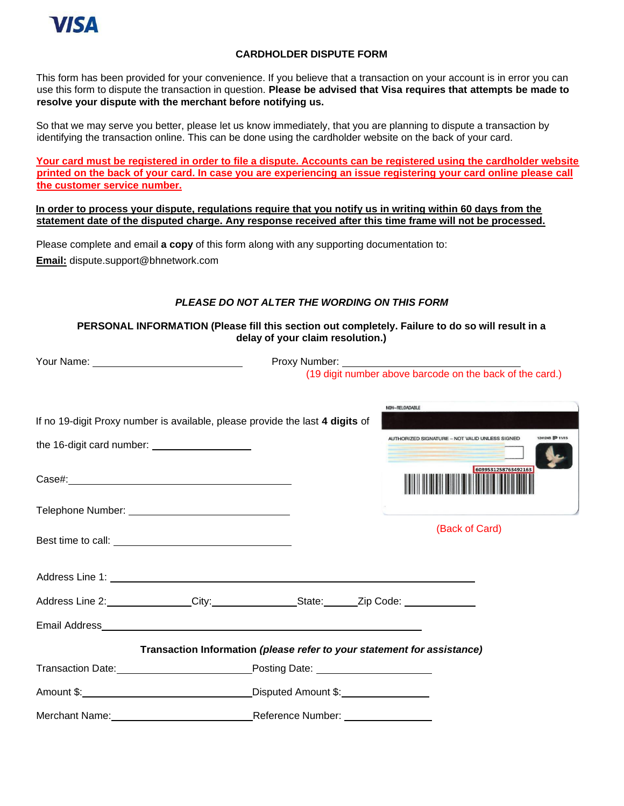

### **CARDHOLDER DISPUTE FORM**

This form has been provided for your convenience. If you believe that a transaction on your account is in error you can use this form to dispute the transaction in question. **Please be advised that Visa requires that attempts be made to resolve your dispute with the merchant before notifying us.**

So that we may serve you better, please let us know immediately, that you are planning to dispute a transaction by identifying the transaction online. This can be done using the cardholder website on the back of your card.

**Your card must be registered in order to file a dispute. Accounts can be registered using the cardholder website printed on the back of your card. In case you are experiencing an issue registering your card online please call the customer service number.**

**In order to process your dispute, regulations require that you notify us in writing within 60 days from the statement date of the disputed charge. Any response received after this time frame will not be processed.**

Please complete and email **a copy** of this form along with any supporting documentation to: **Email:** [dispute.support@bhnetwork.com](mailto:dispute.support@bhnetwork.com)

## *PLEASE DO NOT ALTER THE WORDING ON THIS FORM*

## **PERSONAL INFORMATION (Please fill this section out completely. Failure to do so will result in a delay of your claim resolution.)**

|                                                                                                                                   | Proxy Number: (19 digit number above barcode on the back of the card.) |  |                                                                         |  |  |
|-----------------------------------------------------------------------------------------------------------------------------------|------------------------------------------------------------------------|--|-------------------------------------------------------------------------|--|--|
| If no 19-digit Proxy number is available, please provide the last 4 digits of<br>the 16-digit card number: ______________________ |                                                                        |  | NON-RELOADABLE<br>JTHORIZED SIGNATURE - NOT VALID UNLESS SIGNED         |  |  |
|                                                                                                                                   |                                                                        |  | 6039531258763492163                                                     |  |  |
|                                                                                                                                   |                                                                        |  |                                                                         |  |  |
|                                                                                                                                   |                                                                        |  | (Back of Card)                                                          |  |  |
|                                                                                                                                   |                                                                        |  |                                                                         |  |  |
| Address Line 2: City: City: State: Zip Code:                                                                                      |                                                                        |  |                                                                         |  |  |
|                                                                                                                                   |                                                                        |  |                                                                         |  |  |
|                                                                                                                                   |                                                                        |  | Transaction Information (please refer to your statement for assistance) |  |  |
|                                                                                                                                   | Posting Date: _______________________                                  |  |                                                                         |  |  |
|                                                                                                                                   | Disputed Amount \$: Network 1 2014                                     |  |                                                                         |  |  |
| <b>Merchant Name:</b>                                                                                                             | <b>Reference Number:</b>                                               |  |                                                                         |  |  |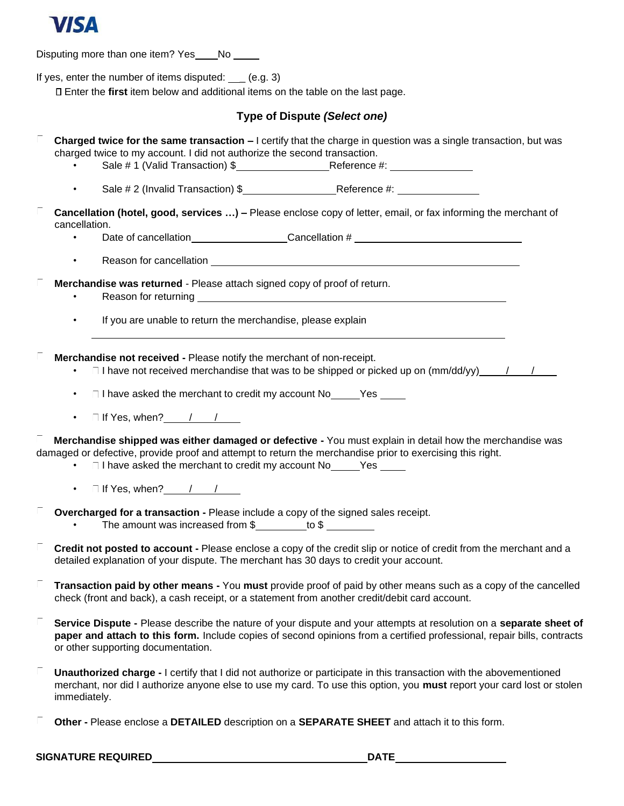

Disputing more than one item? Yes\_\_\_\_No \_\_\_\_

If yes, enter the number of items disputed: \_\_ (e.g. 3)

Enter the **first** item below and additional items on the table on the last page.

# **Type of Dispute** *(Select one)*

|    | <b>Charged twice for the same transaction – I</b> certify that the charge in question was a single transaction, but was<br>charged twice to my account. I did not authorize the second transaction.                                                                                                             |  |  |  |  |  |  |
|----|-----------------------------------------------------------------------------------------------------------------------------------------------------------------------------------------------------------------------------------------------------------------------------------------------------------------|--|--|--|--|--|--|
|    | $\bullet$                                                                                                                                                                                                                                                                                                       |  |  |  |  |  |  |
|    | Cancellation (hotel, good, services ) - Please enclose copy of letter, email, or fax informing the merchant of<br>cancellation.                                                                                                                                                                                 |  |  |  |  |  |  |
|    | Date of cancellation_____________________Cancellation # ________________________<br>$\bullet$                                                                                                                                                                                                                   |  |  |  |  |  |  |
|    | $\bullet$                                                                                                                                                                                                                                                                                                       |  |  |  |  |  |  |
|    | Merchandise was returned - Please attach signed copy of proof of return.<br>Reason for returning <u>entitled</u> and the control of the control of the control of the control of the control of the control of the control of the control of the control of the control of the control of the control of the co |  |  |  |  |  |  |
|    | If you are unable to return the merchandise, please explain<br>$\bullet$                                                                                                                                                                                                                                        |  |  |  |  |  |  |
|    | Merchandise not received - Please notify the merchant of non-receipt.<br>$\Box$ I have not received merchandise that was to be shipped or picked up on $\langle \text{mm}/\text{dd}/\text{yy} \rangle$ / /                                                                                                      |  |  |  |  |  |  |
|    | □ I have asked the merchant to credit my account No ______Yes _____<br>$\bullet$                                                                                                                                                                                                                                |  |  |  |  |  |  |
|    | $\Box$ If Yes, when? $\angle$ / / /<br>$\bullet$                                                                                                                                                                                                                                                                |  |  |  |  |  |  |
|    | Merchandise shipped was either damaged or defective - You must explain in detail how the merchandise was<br>damaged or defective, provide proof and attempt to return the merchandise prior to exercising this right.<br>□ I have asked the merchant to credit my account No ______Yes _____<br>$\bullet$       |  |  |  |  |  |  |
|    | $\Box$ If Yes, when? $\qquad$ / $\qquad$ /<br>$\bullet$                                                                                                                                                                                                                                                         |  |  |  |  |  |  |
|    | Overcharged for a transaction - Please include a copy of the signed sales receipt.<br>The amount was increased from \$_________ to \$ ________<br>$\bullet$                                                                                                                                                     |  |  |  |  |  |  |
|    | Credit not posted to account - Please enclose a copy of the credit slip or notice of credit from the merchant and a<br>detailed explanation of your dispute. The merchant has 30 days to credit your account.                                                                                                   |  |  |  |  |  |  |
|    | Transaction paid by other means - You must provide proof of paid by other means such as a copy of the cancelled<br>check (front and back), a cash receipt, or a statement from another credit/debit card account.                                                                                               |  |  |  |  |  |  |
|    | Service Dispute - Please describe the nature of your dispute and your attempts at resolution on a separate sheet of<br>paper and attach to this form. Include copies of second opinions from a certified professional, repair bills, contracts<br>or other supporting documentation.                            |  |  |  |  |  |  |
| T. | Unauthorized charge - I certify that I did not authorize or participate in this transaction with the abovementioned<br>merchant, nor did I authorize anyone else to use my card. To use this option, you must report your card lost or stolen<br>immediately.                                                   |  |  |  |  |  |  |
|    | Other - Please enclose a DETAILED description on a SEPARATE SHEET and attach it to this form.                                                                                                                                                                                                                   |  |  |  |  |  |  |